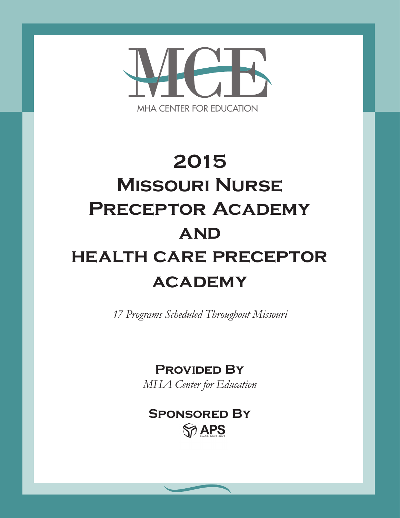

# **2015 Missouri Nurse Preceptor Academy and health care preceptor academy**

*17 Programs Scheduled Throughout Missouri*

**Provided By**

*MHA Center for Education*

# **Sponsored By**SPAPS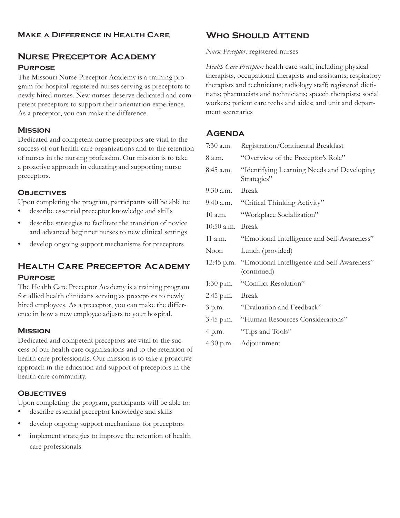# **Nurse Preceptor Academy Purpose**

The Missouri Nurse Preceptor Academy is a training program for hospital registered nurses serving as preceptors to newly hired nurses. New nurses deserve dedicated and competent preceptors to support their orientation experience. As a preceptor, you can make the difference.

#### **Mission**

Dedicated and competent nurse preceptors are vital to the success of our health care organizations and to the retention of nurses in the nursing profession. Our mission is to take a proactive approach in educating and supporting nurse preceptors.

#### **Objectives**

Upon completing the program, participants will be able to:

- describe essential preceptor knowledge and skills
- describe strategies to facilitate the transition of novice and advanced beginner nurses to new clinical settings
- develop ongoing support mechanisms for preceptors

# **Health Care Preceptor Academy Purpose**

The Health Care Preceptor Academy is a training program for allied health clinicians serving as preceptors to newly hired employees. As a preceptor, you can make the difference in how a new employee adjusts to your hospital.

#### **Mission**

Dedicated and competent preceptors are vital to the success of our health care organizations and to the retention of health care professionals. Our mission is to take a proactive approach in the education and support of preceptors in the health care community.

#### **Objectives**

Upon completing the program, participants will be able to:

- describe essential preceptor knowledge and skills
- develop ongoing support mechanisms for preceptors
- implement strategies to improve the retention of health care professionals

# **Who Should Attend**

#### *Nurse Preceptor:* registered nurses

*Health Care Preceptor:* health care staff, including physical therapists, occupational therapists and assistants; respiratory therapists and technicians; radiology staff; registered dietitians; pharmacists and technicians; speech therapists; social workers; patient care techs and aides; and unit and department secretaries

#### **Agenda**

| $7:30$ a.m.  | Registration/Continental Breakfast                         |
|--------------|------------------------------------------------------------|
| 8 a.m.       | "Overview of the Preceptor's Role"                         |
| $8:45$ a.m.  | "Identifying Learning Needs and Developing<br>Strategies"  |
| 9:30 a.m.    | Break                                                      |
| $9:40$ a.m.  | "Critical Thinking Activity"                               |
| $10$ a.m.    | "Workplace Socialization"                                  |
| $10:50$ a.m. | <b>Break</b>                                               |
| 11 a.m.      | "Emotional Intelligence and Self-Awareness"                |
|              |                                                            |
| Noon         | Lunch (provided)                                           |
| 12:45 p.m.   | "Emotional Intelligence and Self-Awareness"<br>(continued) |
| $1:30$ p.m.  | "Conflict Resolution"                                      |
| 2:45 p.m.    | <b>Break</b>                                               |
| 3 p.m.       | "Evaluation and Feedback"                                  |
| 3:45 p.m.    | "Human Resources Considerations"                           |
| 4 p.m.       | "Tips and Tools"                                           |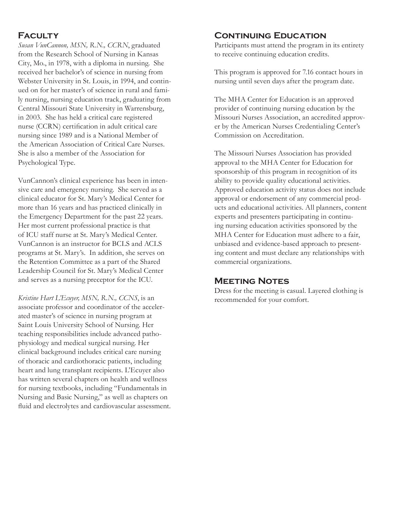### **Faculty**

*Susan VunCannon, MSN, R.N., CCRN*, graduated from the Research School of Nursing in Kansas City, Mo., in 1978, with a diploma in nursing. She received her bachelor's of science in nursing from Webster University in St. Louis, in 1994, and continued on for her master's of science in rural and family nursing, nursing education track, graduating from Central Missouri State University in Warrensburg, in 2003. She has held a critical care registered nurse (CCRN) certification in adult critical care nursing since 1989 and is a National Member of the American Association of Critical Care Nurses. She is also a member of the Association for Psychological Type.

VunCannon's clinical experience has been in intensive care and emergency nursing. She served as a clinical educator for St. Mary's Medical Center for more than 16 years and has practiced clinically in the Emergency Department for the past 22 years. Her most current professional practice is that of ICU staff nurse at St. Mary's Medical Center. VunCannon is an instructor for BCLS and ACLS programs at St. Mary's. In addition, she serves on the Retention Committee as a part of the Shared Leadership Council for St. Mary's Medical Center and serves as a nursing preceptor for the ICU.

*Kristine Hart L'Ecuyer, MSN, R.N., CCNS*, is an associate professor and coordinator of the accelerated master's of science in nursing program at Saint Louis University School of Nursing. Her teaching responsibilities include advanced pathophysiology and medical surgical nursing. Her clinical background includes critical care nursing of thoracic and cardiothoracic patients, including heart and lung transplant recipients. L'Ecuyer also has written several chapters on health and wellness for nursing textbooks, including "Fundamentals in Nursing and Basic Nursing," as well as chapters on fluid and electrolytes and cardiovascular assessment.

#### **Continuing Education**

Participants must attend the program in its entirety to receive continuing education credits.

This program is approved for 7.16 contact hours in nursing until seven days after the program date.

The MHA Center for Education is an approved provider of continuing nursing education by the Missouri Nurses Association, an accredited approver by the American Nurses Credentialing Center's Commission on Accreditation.

The Missouri Nurses Association has provided approval to the MHA Center for Education for sponsorship of this program in recognition of its ability to provide quality educational activities. Approved education activity status does not include approval or endorsement of any commercial products and educational activities. All planners, content experts and presenters participating in continuing nursing education activities sponsored by the MHA Center for Education must adhere to a fair, unbiased and evidence-based approach to presenting content and must declare any relationships with commercial organizations.

#### **Meeting Notes**

Dress for the meeting is casual. Layered clothing is recommended for your comfort.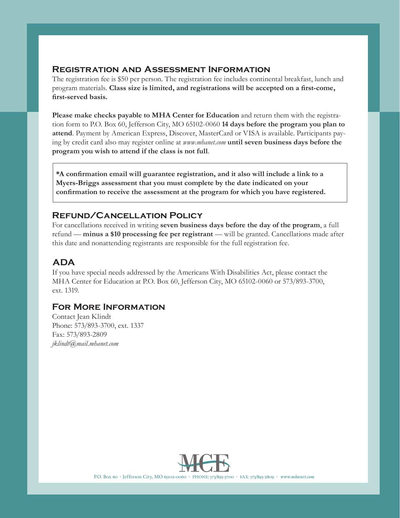#### **Registration and Assessment Information**

The registration fee is \$50 per person. The registration fee includes continental breakfast, lunch and program materials. **Class size is limited, and registrations will be accepted on a first-come, first-served basis.**

**Please make checks payable to MHA Center for Education** and return them with the registration form to P.O. Box 60, Jefferson City, MO 65102-0060 **14 days before the program you plan to attend**. Payment by American Express, Discover, MasterCard or VISA is available. Participants paying by credit card also may register online at *www.mhanet.com* **until seven business days before the program you wish to attend if the class is not full**.

**\*A confirmation email will guarantee registration, and it also will include a link to a Myers-Briggs assessment that you must complete by the date indicated on your confirmation to receive the assessment at the program for which you have registered.**

#### **Refund/Cancellation Policy**

For cancellations received in writing **seven business days before the day of the program**, a full refund — **minus a \$10 processing fee per registrant** — will be granted. Cancellations made after this date and nonattending registrants are responsible for the full registration fee.

# **ADA**

If you have special needs addressed by the Americans With Disabilities Act, please contact the MHA Center for Education at P.O. Box 60, Jefferson City, MO 65102-0060 or 573/893-3700, ext. 1319.

#### **For More Information**

Contact Jean Klindt Phone: 573/893-3700, ext. 1337 Fax: 573/893-2809 *jklindt@mail.mhanet.com*



MHA CENTER FOR EDUCATION A Subsidiary of the Missouri Hospital Association P.O. Box 60 • Jefferson City, MO 65102-0060 • PHONE: 573/893-3700 • FAX: 573/893-2809 • *www.mhanet.com*